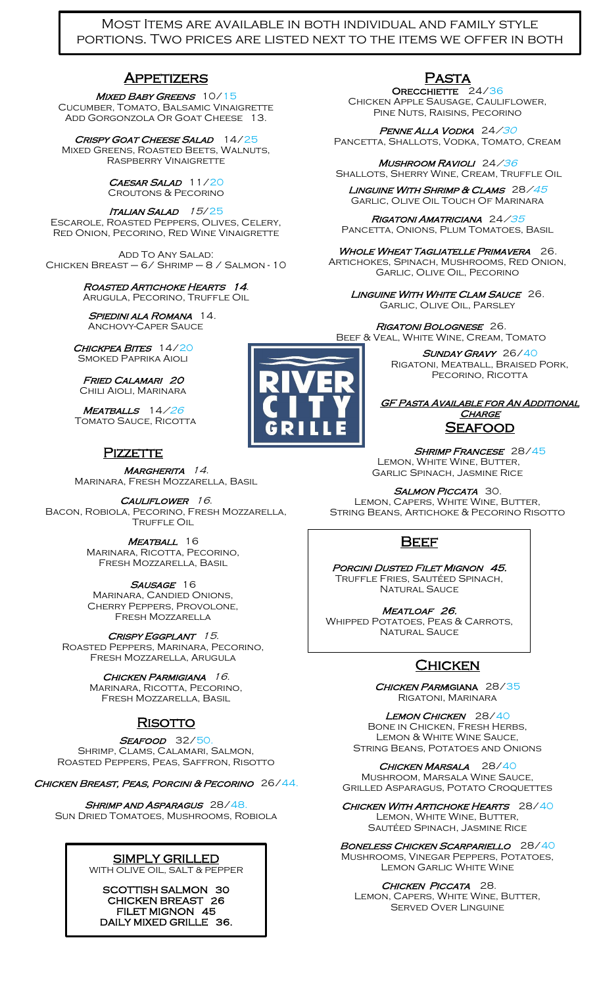### Most Items are available in both individual and family style portions. Two prices are listed next to the items we offer in both sizes.

### **APPETIZERS**

MIXED BABY GREENS 10/15 Cucumber, Tomato, Balsamic Vinaigrette ADD GORGONZOLA OR GOAT CHEESE 13.

CRISPY GOAT CHEESE SALAD 14/25 Mixed Greens, Roasted Beets, Walnuts, Raspberry Vinaigrette

#### CAESAR SALAD 11/20 Croutons & Pecorino

ITALIAN SALAD 15/25 Escarole, Roasted Peppers, Olives, Celery, Red Onion, Pecorino, Red Wine Vinaigrette

Add To Any Salad: Chicken Breast – 6/ Shrimp – 8 / Salmon - 10

#### Roasted Artichoke Hearts 14. ARUGULA, PECORINO, TRUFFLE OIL

SPIEDINI ALA ROMANA 14. Anchovy-Caper Sauce

CHICKPEA BITES 14/20 Smoked Paprika Aioli

Fried Calamari 20 Chili Aioli, Marinara

MEATBALLS 14/26 TOMATO SAUCE, RICOTTA

# PIZZETTE

MARGHERITA 14. Marinara, Fresh Mozzarella, Basil

CAULIFLOWER 16. Bacon, Robiola, Pecorino, Fresh Mozzarella, **TRUFFLE OIL** 

> MEATBALL 16 Marinara, Ricotta, Pecorino, Fresh Mozzarella, Basil

> SAUSAGE 16 Marinara, Candied Onions, Cherry Peppers, Provolone, Fresh Mozzarella

CRISPY EGGPLANT 15. Roasted Peppers, Marinara, Pecorino, Fresh Mozzarella, Arugula

> CHICKEN PARMIGIANA 16. Marinara, Ricotta, Pecorino, Fresh Mozzarella, Basil

# **RISOTTO**

SEAFOOD 32/50.

Shrimp, Clams, Calamari, Salmon, Roasted Peppers, Peas, Saffron, Risotto

Chicken Breast, Peas, Porcini & Pecorino 26/44.

SHRIMP AND ASPARAGUS 28/48. Sun Dried Tomatoes, Mushrooms, Robiola

# SIMPLY GRILLED

WITH OLIVE OIL, SALT & PEPPER

SCOTTISH SALMON 30 CHICKEN BREAST 26 FILET MIGNON 45 DAILY MIXED GRILLE 36.

MARKET VEGETABLES



## **PASTA**

ORECCHIETTE 24/36 Chicken Apple Sausage, Cauliflower, Pine Nuts, Raisins, Pecorino

PENNE ALLA VODKA 24/30 Pancetta, Shallots, Vodka, Tomato, Cream

Mushroom Ravioli 24/36 SHALLOTS, SHERRY WINE, CREAM, TRUFFLE OIL

Linguine With Shrimp & Clams 28/45 Garlic, Olive Oil Touch Of Marinara

Rigatoni Amatriciana 24/35 PANCETTA, ONIONS, PLUM TOMATOES, BASIL

WHOLE WHEAT TAGLIATELLE PRIMAVERA 26. Artichokes, Spinach, Mushrooms, Red Onion, Garlic, Olive Oil, Pecorino

LINGUINE WITH WHITE CLAM SAUCE 26. Garlic, Olive Oil, Parsley

Rigatoni Bolognese 26. Beef & Veal, White Wine, Cream, Tomato

> SUNDAY GRAVY 26/40 Rigatoni, Meatball, Braised Pork, PECORINO, RICOTTA

### GF Pasta Available for An Additional CHARGE **SEAFOOD**

SHRIMP FRANCESE 28/45 LEMON, WHITE WINE, BUTTER, Garlic Spinach, Jasmine Rice

SALMON PICCATA 30. Lemon, Capers, White Wine, Butter, String Beans, Artichoke & Pecorino Risotto

# **BEEF**

Porcini Dusted Filet Mignon 45. Truffle Fries, Sautéed Spinach, NATURAL SAUCE

MEATLOAF 26. Whipped Potatoes, Peas & Carrots, NATURAL SAUCE

# **CHICKEN**

CHICKEN PARMIGIANA 28/35 Rigatoni, Marinara

LEMON CHICKEN 28/40 Bone in Chicken, Fresh Herbs, Lemon & White Wine Sauce, String Beans, Potatoes and Onions

CHICKEN MARSALA 28/40 Mushroom, Marsala Wine Sauce, Grilled Asparagus, Potato Croquettes

CHICKEN WITH ARTICHOKE HEARTS 28/40 LEMON, WHITE WINE, BUTTER, Sautéed Spinach, Jasmine Rice

Î Boneless Chicken Scarpariello 28/40 Mushrooms, Vinegar Peppers, Potatoes, Lemon Garlic White Wine

CHICKEN PICCATA 28. Lemon, Capers, White Wine, Butter, Served Over Linguine